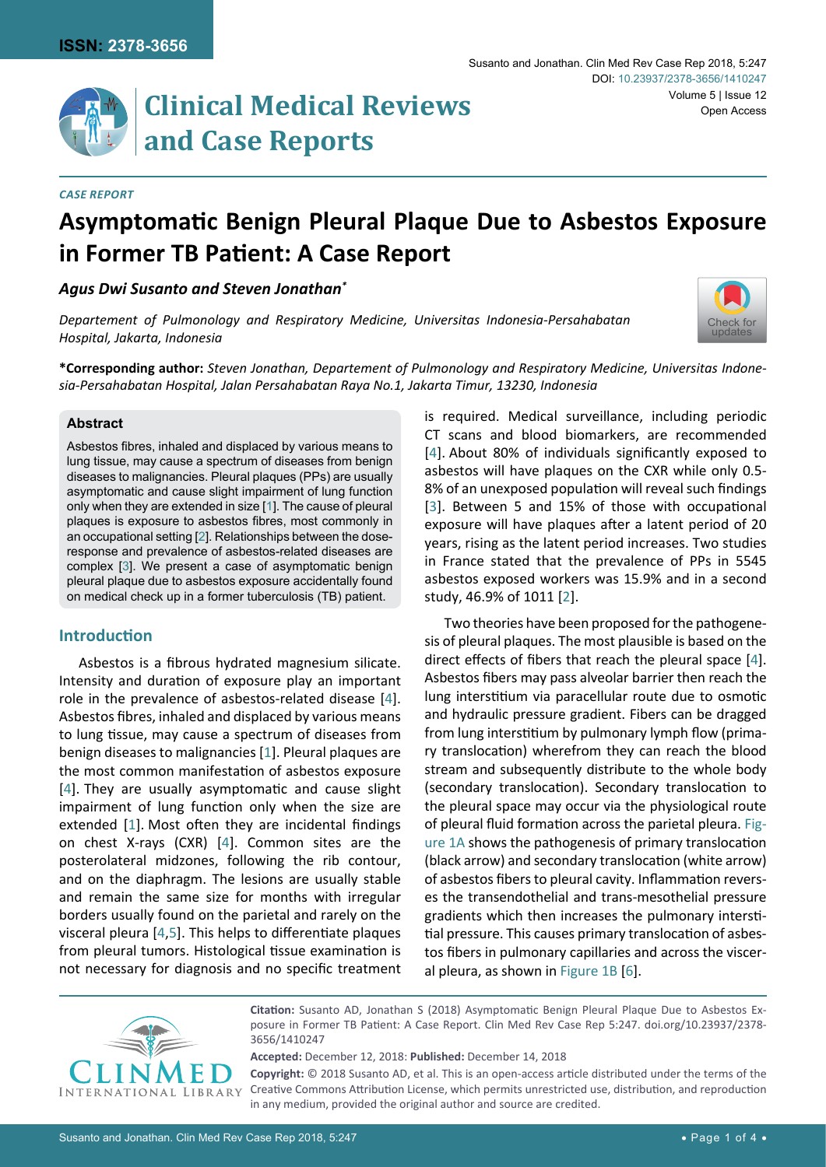

# **Clinical Medical Reviews and Case Reports**

#### *Case Report*

# **Asymptomatic Benign Pleural Plaque Due to Asbestos Exposure in Former TB Patient: A Case Report**

*Agus Dwi Susanto and Steven Jonathan\**

*Departement of Pulmonology and Respiratory Medicine, Universitas Indonesia-Persahabatan Hospital, Jakarta, Indonesia*

**\*Corresponding author:** *Steven Jonathan, Departement of Pulmonology and Respiratory Medicine, Universitas Indonesia-Persahabatan Hospital, Jalan Persahabatan Raya No.1, Jakarta Timur, 13230, Indonesia* 

### **Abstract**

Asbestos fibres, inhaled and displaced by various means to lung tissue, may cause a spectrum of diseases from benign diseases to malignancies. Pleural plaques (PPs) are usually asymptomatic and cause slight impairment of lung function only when they are extended in size [[1](#page-2-0)]. The cause of pleural plaques is exposure to asbestos fibres, most commonly in an occupational setting [[2](#page-2-1)]. Relationships between the doseresponse and prevalence of asbestos-related diseases are complex [[3](#page-3-0)]. We present a case of asymptomatic benign pleural plaque due to asbestos exposure accidentally found on medical check up in a former tuberculosis (TB) patient.

# **Introduction**

Asbestos is a fibrous hydrated magnesium silicate. Intensity and duration of exposure play an important role in the prevalence of asbestos-related disease [\[4\]](#page-3-1). Asbestos fibres, inhaled and displaced by various means to lung tissue, may cause a spectrum of diseases from benign diseases to malignancies [[1](#page-2-0)]. Pleural plaques are the most common manifestation of asbestos exposure [[4](#page-3-1)]. They are usually asymptomatic and cause slight impairment of lung function only when the size are extended [[1](#page-2-0)]. Most often they are incidental findings on chest X-rays (CXR) [[4](#page-3-1)]. Common sites are the posterolateral midzones, following the rib contour, and on the diaphragm. The lesions are usually stable and remain the same size for months with irregular borders usually found on the parietal and rarely on the visceral pleura [[4](#page-3-1),[5](#page-3-3)]. This helps to differentiate plaques from pleural tumors. Histological tissue examination is not necessary for diagnosis and no specific treatment is required. Medical surveillance, including periodic CT scans and blood biomarkers, are recommended [[4](#page-3-1)]. About 80% of individuals significantly exposed to asbestos will have plaques on the CXR while only 0.5- 8% of an unexposed population will reveal such findings [[3](#page-3-0)]. Between 5 and 15% of those with occupational exposure will have plaques after a latent period of 20 years, rising as the latent period increases. Two studies in France stated that the prevalence of PPs in 5545 asbestos exposed workers was 15.9% and in a second study, 46.9% of 1011 [[2](#page-2-1)].

Two theories have been proposed for the pathogenesis of pleural plaques. The most plausible is based on the direct effects of fibers that reach the pleural space [\[4\]](#page-3-1). Asbestos fibers may pass alveolar barrier then reach the lung interstitium via paracellular route due to osmotic and hydraulic pressure gradient. Fibers can be dragged from lung interstitium by pulmonary lymph flow (primary translocation) wherefrom they can reach the blood stream and subsequently distribute to the whole body (secondary translocation). Secondary translocation to the pleural space may occur via the physiological route of pleural fluid formation across the parietal pleura. [Fig](#page-1-0)[ure 1A](#page-1-0) shows the pathogenesis of primary translocation (black arrow) and secondary translocation (white arrow) of asbestos fibers to pleural cavity. Inflammation reverses the transendothelial and trans-mesothelial pressure gradients which then increases the pulmonary interstitial pressure. This causes primary translocation of asbestos fibers in pulmonary capillaries and across the visceral pleura, as shown in [Figure 1B](#page-1-0) [[6\]](#page-3-2).



**Citation:** Susanto AD, Jonathan S (2018) Asymptomatic Benign Pleural Plaque Due to Asbestos Exposure in Former TB Patient: A Case Report. Clin Med Rev Case Rep 5:247. [doi.org/10.23937/2378-](https://doi.org/10.23937/2378-3656/1410247) [3656/1410247](https://doi.org/10.23937/2378-3656/1410247)

**Accepted:** December 12, 2018: **Published:** December 14, 2018

**Copyright:** © 2018 Susanto AD, et al. This is an open-access article distributed under the terms of the Creative Commons Attribution License, which permits unrestricted use, distribution, and reproduction in any medium, provided the original author and source are credited.

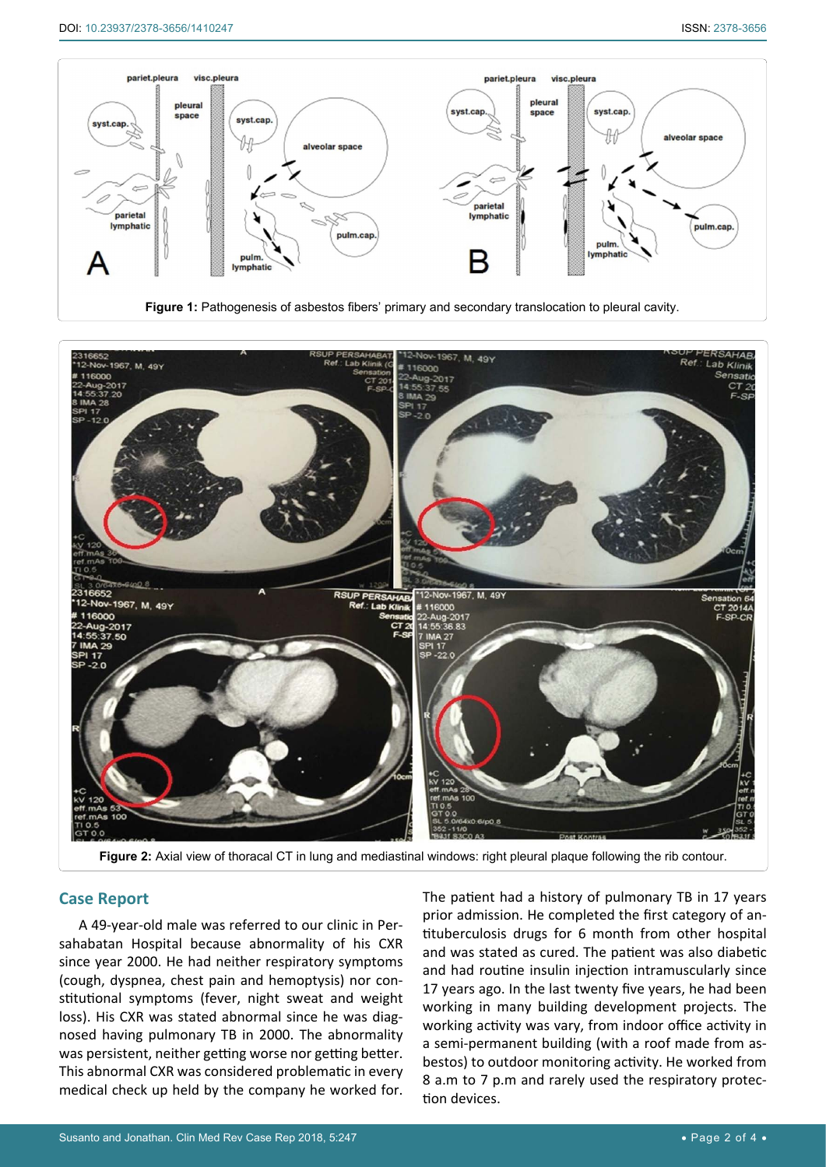<span id="page-1-0"></span>

**Figure 1:** Pathogenesis of asbestos fibers' primary and secondary translocation to pleural cavity.

<span id="page-1-1"></span>

Figure 2: Axial view of thoracal CT in lung and mediastinal windows: right pleural plaque following the rib contour.

# **Case Report**

A 49-year-old male was referred to our clinic in Persahabatan Hospital because abnormality of his CXR since year 2000. He had neither respiratory symptoms (cough, dyspnea, chest pain and hemoptysis) nor constitutional symptoms (fever, night sweat and weight loss). His CXR was stated abnormal since he was diagnosed having pulmonary TB in 2000. The abnormality was persistent, neither getting worse nor getting better. This abnormal CXR was considered problematic in every medical check up held by the company he worked for.

The patient had a history of pulmonary TB in 17 years prior admission. He completed the first category of antituberculosis drugs for 6 month from other hospital and was stated as cured. The patient was also diabetic and had routine insulin injection intramuscularly since 17 years ago. In the last twenty five years, he had been working in many building development projects. The working activity was vary, from indoor office activity in a semi-permanent building (with a roof made from asbestos) to outdoor monitoring activity. He worked from 8 a.m to 7 p.m and rarely used the respiratory protection devices.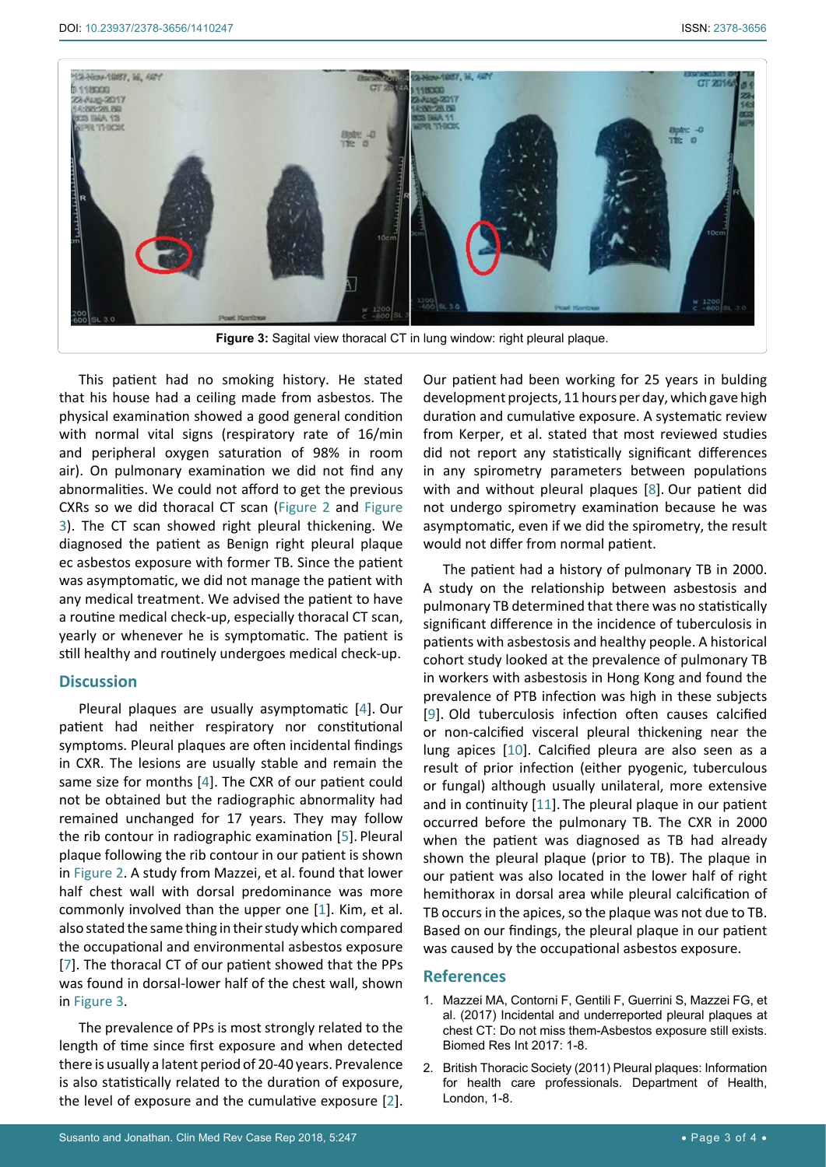<span id="page-2-2"></span>

This patient had no smoking history. He stated that his house had a ceiling made from asbestos. The physical examination showed a good general condition with normal vital signs (respiratory rate of 16/min and peripheral oxygen saturation of 98% in room air). On pulmonary examination we did not find any abnormalities. We could not afford to get the previous CXRs so we did thoracal CT scan ([Figure 2](#page-1-1) and [Figure](#page-2-2)  [3](#page-2-2)). The CT scan showed right pleural thickening. We diagnosed the patient as Benign right pleural plaque ec asbestos exposure with former TB. Since the patient was asymptomatic, we did not manage the patient with any medical treatment. We advised the patient to have a routine medical check-up, especially thoracal CT scan, yearly or whenever he is symptomatic. The patient is still healthy and routinely undergoes medical check-up.

# **Discussion**

Pleural plaques are usually asymptomatic [\[4\]](#page-3-1). Our patient had neither respiratory nor constitutional symptoms. Pleural plaques are often incidental findings in CXR. The lesions are usually stable and remain the same size for months [\[4](#page-3-1)]. The CXR of our patient could not be obtained but the radiographic abnormality had remained unchanged for 17 years. They may follow the rib contour in radiographic examination [\[5\]](#page-3-3). Pleural plaque following the rib contour in our patient is shown in [Figure 2](#page-1-1). A study from Mazzei, et al. found that lower half chest wall with dorsal predominance was more commonly involved than the upper one [[1](#page-2-0)]. Kim, et al. also stated the same thing in their study which compared the occupational and environmental asbestos exposure [[7](#page-3-8)]. The thoracal CT of our patient showed that the PPs was found in dorsal-lower half of the chest wall, shown in [Figure 3](#page-2-2).

The prevalence of PPs is most strongly related to the length of time since first exposure and when detected there is usually a latent period of 20-40 years. Prevalence is also statistically related to the duration of exposure, the level of exposure and the cumulative exposure [[2](#page-2-1)].

Our patient had been working for 25 years in bulding development projects, 11 hours per day, which gave high duration and cumulative exposure. A systematic review from Kerper, et al. stated that most reviewed studies did not report any statistically significant differences in any spirometry parameters between populations with and without pleural plaques [[8](#page-3-4)]. Our patient did not undergo spirometry examination because he was asymptomatic, even if we did the spirometry, the result would not differ from normal patient.

The patient had a history of pulmonary TB in 2000. A study on the relationship between asbestosis and pulmonary TB determined that there was no statistically significant difference in the incidence of tuberculosis in patients with asbestosis and healthy people. A historical cohort study looked at the prevalence of pulmonary TB in workers with asbestosis in Hong Kong and found the prevalence of PTB infection was high in these subjects [[9](#page-3-5)]. Old tuberculosis infection often causes calcified or non-calcified visceral pleural thickening near the lung apices [[10](#page-3-6)]. Calcified pleura are also seen as a result of prior infection (either pyogenic, tuberculous or fungal) although usually unilateral, more extensive and in continuity [[11](#page-3-7)]. The pleural plaque in our patient occurred before the pulmonary TB. The CXR in 2000 when the patient was diagnosed as TB had already shown the pleural plaque (prior to TB). The plaque in our patient was also located in the lower half of right hemithorax in dorsal area while pleural calcification of TB occurs in the apices, so the plaque was not due to TB. Based on our findings, the pleural plaque in our patient was caused by the occupational asbestos exposure.

## **References**

- <span id="page-2-0"></span>1. [Mazzei MA, Contorni F, Gentili F, Guerrini S, Mazzei FG, et](https://www.hindawi.com/journals/bmri/2017/6797826/) [al. \(2017\) Incidental and underreported pleural plaques at](https://www.hindawi.com/journals/bmri/2017/6797826/) [chest CT: Do not miss them-Asbestos exposure still exists.](https://www.hindawi.com/journals/bmri/2017/6797826/) [Biomed Res Int 2017: 1-8.](https://www.hindawi.com/journals/bmri/2017/6797826/)
- <span id="page-2-1"></span>2. [British Thoracic Society \(2011\) Pleural plaques: Information](https://www.brit-thoracic.org.uk/document-library/clinical-information/mesothelioma/pleural-plaques-information-for-health-care-professionals/) [for health care professionals. Department of Health,](https://www.brit-thoracic.org.uk/document-library/clinical-information/mesothelioma/pleural-plaques-information-for-health-care-professionals/) [London, 1-8.](https://www.brit-thoracic.org.uk/document-library/clinical-information/mesothelioma/pleural-plaques-information-for-health-care-professionals/)